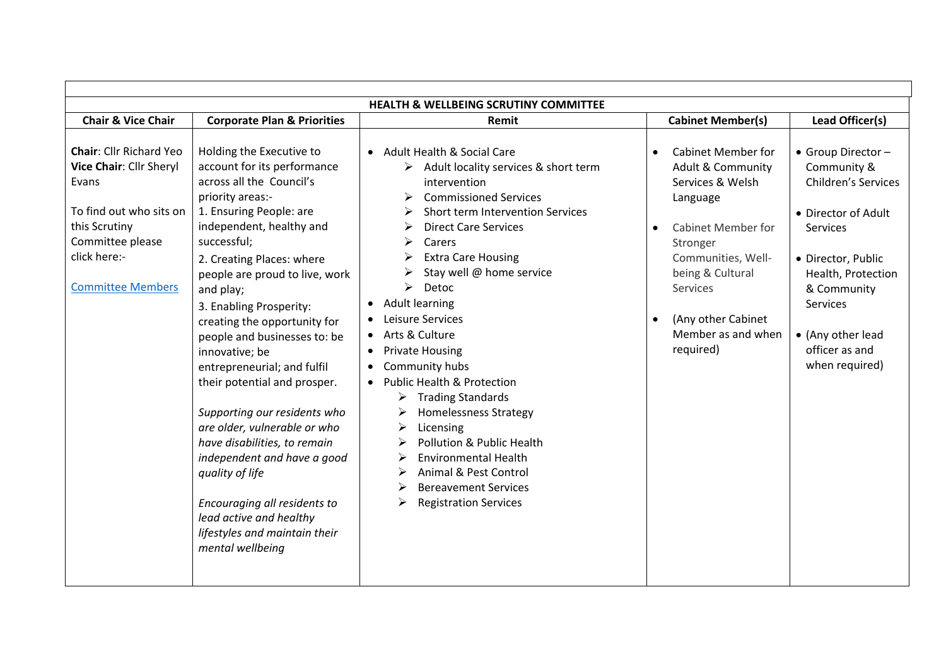| <b>HEALTH &amp; WELLBEING SCRUTINY COMMITTEE</b>                                                                                                                               |                                                                                                                                                                                                                                                                                                                                                                                                                                                                                                                                                                                                                                                                                                         |                                                                                                                                                                                                                                                                                                                                                                                                                                                                                                                                                                                                                                                                                                         |                                                                                                                                                                                                                                                                |                                                                                                                                                                                                                                    |  |  |  |
|--------------------------------------------------------------------------------------------------------------------------------------------------------------------------------|---------------------------------------------------------------------------------------------------------------------------------------------------------------------------------------------------------------------------------------------------------------------------------------------------------------------------------------------------------------------------------------------------------------------------------------------------------------------------------------------------------------------------------------------------------------------------------------------------------------------------------------------------------------------------------------------------------|---------------------------------------------------------------------------------------------------------------------------------------------------------------------------------------------------------------------------------------------------------------------------------------------------------------------------------------------------------------------------------------------------------------------------------------------------------------------------------------------------------------------------------------------------------------------------------------------------------------------------------------------------------------------------------------------------------|----------------------------------------------------------------------------------------------------------------------------------------------------------------------------------------------------------------------------------------------------------------|------------------------------------------------------------------------------------------------------------------------------------------------------------------------------------------------------------------------------------|--|--|--|
| <b>Chair &amp; Vice Chair</b>                                                                                                                                                  | <b>Corporate Plan &amp; Priorities</b>                                                                                                                                                                                                                                                                                                                                                                                                                                                                                                                                                                                                                                                                  | Remit                                                                                                                                                                                                                                                                                                                                                                                                                                                                                                                                                                                                                                                                                                   | <b>Cabinet Member(s)</b>                                                                                                                                                                                                                                       | Lead Officer(s)                                                                                                                                                                                                                    |  |  |  |
| <b>Chair: Cllr Richard Yeo</b><br>Vice Chair: Cllr Sheryl<br>Evans<br>To find out who sits on<br>this Scrutiny<br>Committee please<br>click here:-<br><b>Committee Members</b> | Holding the Executive to<br>account for its performance<br>across all the Council's<br>priority areas:-<br>1. Ensuring People: are<br>independent, healthy and<br>successful;<br>2. Creating Places: where<br>people are proud to live, work<br>and play;<br>3. Enabling Prosperity:<br>creating the opportunity for<br>people and businesses to: be<br>innovative; be<br>entrepreneurial; and fulfil<br>their potential and prosper.<br>Supporting our residents who<br>are older, vulnerable or who<br>have disabilities, to remain<br>independent and have a good<br>quality of life<br>Encouraging all residents to<br>lead active and healthy<br>lifestyles and maintain their<br>mental wellbeing | • Adult Health & Social Care<br>$\triangleright$ Adult locality services & short term<br>intervention<br><b>Commissioned Services</b><br>Short term Intervention Services<br><b>Direct Care Services</b><br>Carers<br><b>Extra Care Housing</b><br>Stay well @ home service<br>➤<br>Detoc<br><b>Adult learning</b><br>Leisure Services<br>• Arts & Culture<br><b>Private Housing</b><br>$\bullet$<br>Community hubs<br>$\bullet$<br>• Public Health & Protection<br><b>Trading Standards</b><br>➤<br><b>Homelessness Strategy</b><br>Licensing<br>Pollution & Public Health<br><b>Environmental Health</b><br>Animal & Pest Control<br><b>Bereavement Services</b><br>≻<br><b>Registration Services</b> | <b>Cabinet Member for</b><br><b>Adult &amp; Community</b><br>Services & Welsh<br>Language<br><b>Cabinet Member for</b><br>$\bullet$<br>Stronger<br>Communities, Well-<br>being & Cultural<br>Services<br>(Any other Cabinet<br>Member as and when<br>required) | • Group Director -<br>Community &<br><b>Children's Services</b><br>• Director of Adult<br>Services<br>· Director, Public<br>Health, Protection<br>& Community<br>Services<br>• (Any other lead<br>officer as and<br>when required) |  |  |  |